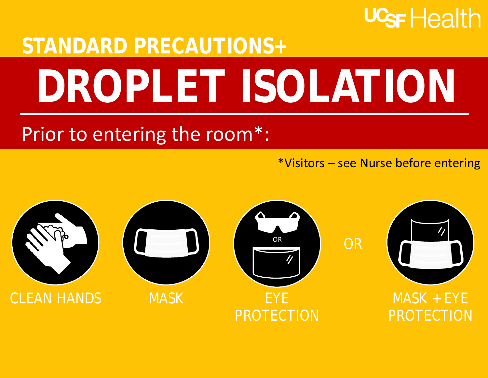## U<sub>SF</sub> Health

## **STANDARD PRECAUTIONS+ DROPLET ISOLATION**

## Prior to entering the room\*:

\*Visitors – see Nurse before entering